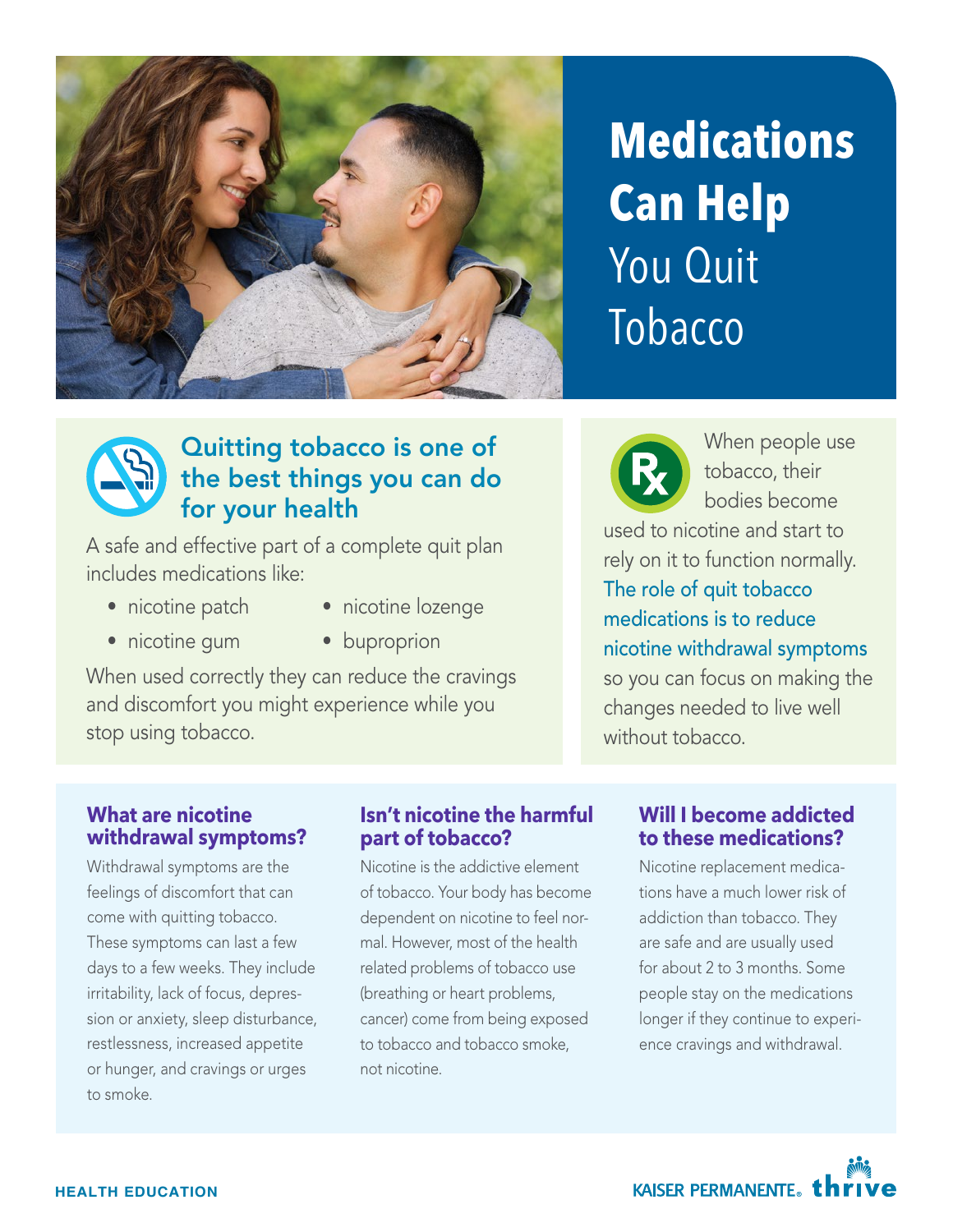

# **Medications Can Help**  You Quit Tobacco



### Quitting tobacco is one of the best things you can do for your health

A safe and effective part of a complete quit plan includes medications like:

- nicotine patch
- nicotine gum
- nicotine lozenge
- buproprion

When used correctly they can reduce the cravings and discomfort you might experience while you stop using tobacco.



When people use tobacco, their bodies become

used to nicotine and start to rely on it to function normally. The role of quit tobacco medications is to reduce nicotine withdrawal symptoms so you can focus on making the changes needed to live well without tobacco.

#### **What are nicotine withdrawal symptoms?**

Withdrawal symptoms are the feelings of discomfort that can come with quitting tobacco. These symptoms can last a few days to a few weeks. They include irritability, lack of focus, depres sion or anxiety, sleep disturbance, restlessness, increased appetite or hunger, and cravings or urges to smoke.

#### **Isn't nicotine the harmful part of tobacco?**

Nicotine is the addictive element of tobacco. Your body has become dependent on nicotine to feel nor mal. However, most of the health related problems of tobacco use (breathing or heart problems, cancer) come from being exposed to tobacco and tobacco smoke, not nicotine.

#### **Will I become addicted to these medications?**

Nicotine replacement medica tions have a much lower risk of addiction than tobacco. They are safe and are usually used for about 2 to 3 months. Some people stay on the medications longer if they continue to experi ence cravings and withdrawal.